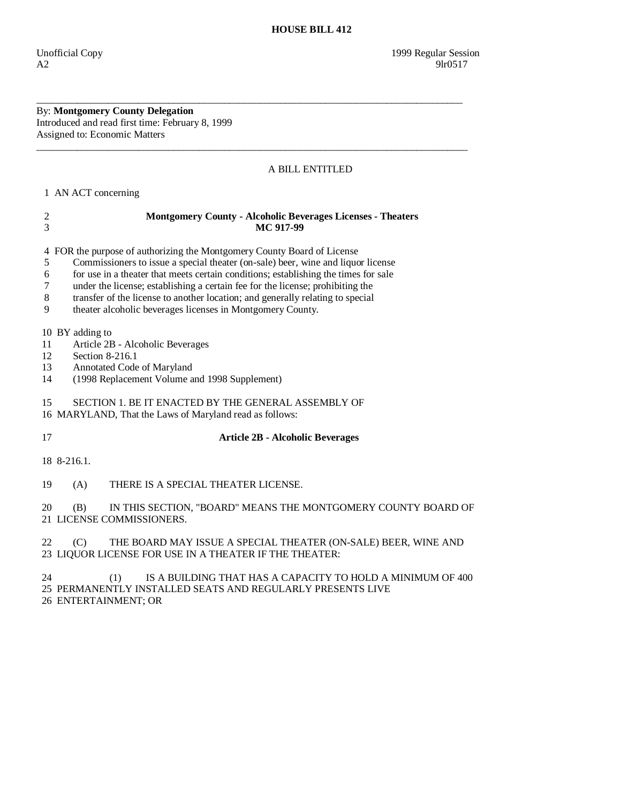By: **Montgomery County Delegation**  Introduced and read first time: February 8, 1999 Assigned to: Economic Matters

## A BILL ENTITLED

\_\_\_\_\_\_\_\_\_\_\_\_\_\_\_\_\_\_\_\_\_\_\_\_\_\_\_\_\_\_\_\_\_\_\_\_\_\_\_\_\_\_\_\_\_\_\_\_\_\_\_\_\_\_\_\_\_\_\_\_\_\_\_\_\_\_\_\_\_\_\_\_\_\_\_\_\_\_\_\_\_\_\_\_

\_\_\_\_\_\_\_\_\_\_\_\_\_\_\_\_\_\_\_\_\_\_\_\_\_\_\_\_\_\_\_\_\_\_\_\_\_\_\_\_\_\_\_\_\_\_\_\_\_\_\_\_\_\_\_\_\_\_\_\_\_\_\_\_\_\_\_\_\_\_\_\_\_\_\_\_\_\_\_\_\_\_\_\_\_

1 AN ACT concerning

| $\overline{\mathbf{c}}$<br>3   | <b>Montgomery County - Alcoholic Beverages Licenses - Theaters</b><br>MC 917-99                                                                                                                                                                                                                                                                                                                                                                                                    |
|--------------------------------|------------------------------------------------------------------------------------------------------------------------------------------------------------------------------------------------------------------------------------------------------------------------------------------------------------------------------------------------------------------------------------------------------------------------------------------------------------------------------------|
| 4<br>5<br>6<br>7<br>$8\,$<br>9 | FOR the purpose of authorizing the Montgomery County Board of License<br>Commissioners to issue a special theater (on-sale) beer, wine and liquor license<br>for use in a theater that meets certain conditions; establishing the times for sale<br>under the license; establishing a certain fee for the license; prohibiting the<br>transfer of the license to another location; and generally relating to special<br>theater alcoholic beverages licenses in Montgomery County. |
| 11<br>12<br>13<br>14           | 10 BY adding to<br>Article 2B - Alcoholic Beverages<br>Section 8-216.1<br>Annotated Code of Maryland<br>(1998 Replacement Volume and 1998 Supplement)                                                                                                                                                                                                                                                                                                                              |
| 15                             | SECTION 1. BE IT ENACTED BY THE GENERAL ASSEMBLY OF<br>16 MARYLAND, That the Laws of Maryland read as follows:                                                                                                                                                                                                                                                                                                                                                                     |
| 17                             | <b>Article 2B - Alcoholic Beverages</b>                                                                                                                                                                                                                                                                                                                                                                                                                                            |
|                                | 18 8-216.1.                                                                                                                                                                                                                                                                                                                                                                                                                                                                        |
| 19                             | THERE IS A SPECIAL THEATER LICENSE.<br>(A)                                                                                                                                                                                                                                                                                                                                                                                                                                         |
| 20                             | IN THIS SECTION, "BOARD" MEANS THE MONTGOMERY COUNTY BOARD OF<br>(B)<br>21 LICENSE COMMISSIONERS.                                                                                                                                                                                                                                                                                                                                                                                  |
| 22                             | (C)<br>THE BOARD MAY ISSUE A SPECIAL THEATER (ON-SALE) BEER, WINE AND<br>23 LIQUOR LICENSE FOR USE IN A THEATER IF THE THEATER:                                                                                                                                                                                                                                                                                                                                                    |
| 24                             | (1)<br>IS A BUILDING THAT HAS A CAPACITY TO HOLD A MINIMUM OF 400<br>25 PERMANENTLY INSTALLED SEATS AND REGULARLY PRESENTS LIVE<br>26 ENTERTAINMENT; OR                                                                                                                                                                                                                                                                                                                            |
|                                |                                                                                                                                                                                                                                                                                                                                                                                                                                                                                    |
|                                |                                                                                                                                                                                                                                                                                                                                                                                                                                                                                    |
|                                |                                                                                                                                                                                                                                                                                                                                                                                                                                                                                    |